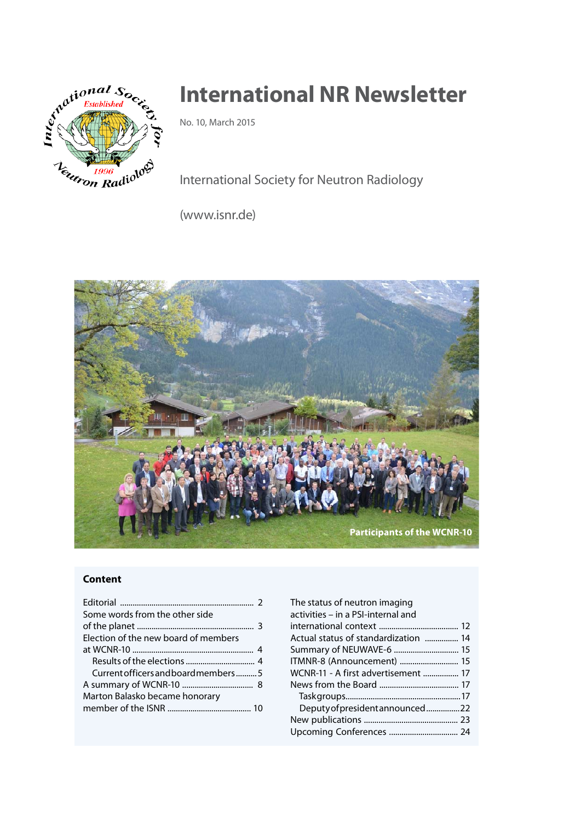

# **International NR Newsletter**

No. 10, March 2015

International Society for Neutron Radiology

(www.isnr.de)



### **Content**

| Some words from the other side       |  |
|--------------------------------------|--|
|                                      |  |
| Election of the new board of members |  |
|                                      |  |
|                                      |  |
| Current officers and board members 5 |  |
|                                      |  |
| Marton Balasko became honorary       |  |
|                                      |  |

| The status of neutron imaging<br>activities – in a PSI-internal and |  |
|---------------------------------------------------------------------|--|
|                                                                     |  |
| Actual status of standardization  14                                |  |
| Summary of NEUWAVE-6  15                                            |  |
| ITMNR-8 (Announcement)  15                                          |  |
| WCNR-11 - A first advertisement  17                                 |  |
|                                                                     |  |
|                                                                     |  |
| Deputy of president announced22                                     |  |
|                                                                     |  |
| Upcoming Conferences  24                                            |  |
|                                                                     |  |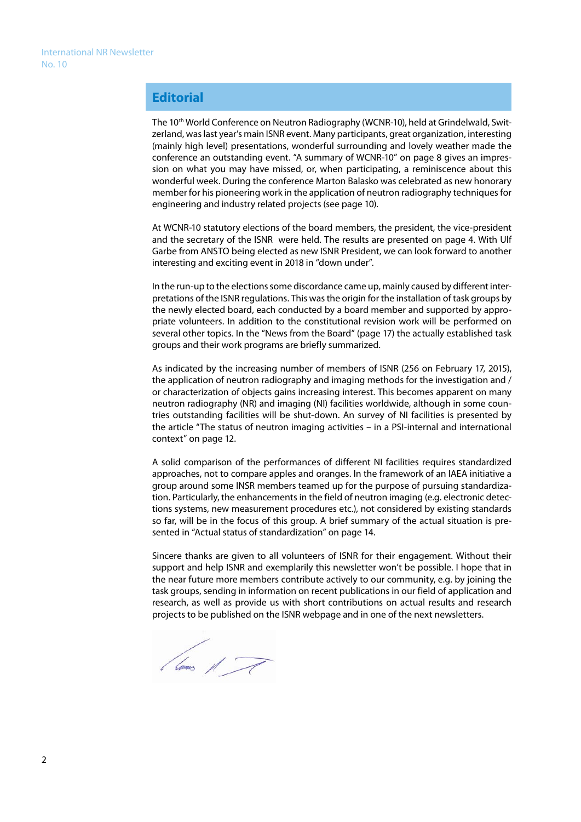# **Editorial**

The 10<sup>th</sup> World Conference on Neutron Radiography (WCNR-10), held at Grindelwald, Switzerland, was last year's main ISNR event. Many participants, great organization, interesting (mainly high level) presentations, wonderful surrounding and lovely weather made the conference an outstanding event. "A summary of WCNR-10" on page 8 gives an impression on what you may have missed, or, when participating, a reminiscence about this wonderful week. During the conference Marton Balasko was celebrated as new honorary member for his pioneering work in the application of neutron radiography techniques for engineering and industry related projects (see page 10).

At WCNR-10 statutory elections of the board members, the president, the vice-president and the secretary of the ISNR were held. The results are presented on page 4. With Ulf Garbe from ANSTO being elected as new ISNR President, we can look forward to another interesting and exciting event in 2018 in "down under".

In the run-up to the elections some discordance came up, mainly caused by different interpretations of the ISNR regulations. This was the origin for the installation of task groups by the newly elected board, each conducted by a board member and supported by appropriate volunteers. In addition to the constitutional revision work will be performed on several other topics. In the "News from the Board" (page 17) the actually established task groups and their work programs are briefly summarized.

As indicated by the increasing number of members of ISNR (256 on February 17, 2015), the application of neutron radiography and imaging methods for the investigation and / or characterization of objects gains increasing interest. This becomes apparent on many neutron radiography (NR) and imaging (NI) facilities worldwide, although in some countries outstanding facilities will be shut-down. An survey of NI facilities is presented by the article "The status of neutron imaging activities – in a PSI-internal and international context" on page 12.

A solid comparison of the performances of different NI facilities requires standardized approaches, not to compare apples and oranges. In the framework of an IAEA initiative a group around some INSR members teamed up for the purpose of pursuing standardization. Particularly, the enhancements in the field of neutron imaging (e.g. electronic detections systems, new measurement procedures etc.), not considered by existing standards so far, will be in the focus of this group. A brief summary of the actual situation is presented in "Actual status of standardization" on page 14.

Sincere thanks are given to all volunteers of ISNR for their engagement. Without their support and help ISNR and exemplarily this newsletter won't be possible. I hope that in the near future more members contribute actively to our community, e.g. by joining the task groups, sending in information on recent publications in our field of application and research, as well as provide us with short contributions on actual results and research projects to be published on the ISNR webpage and in one of the next newsletters.

l'unes et F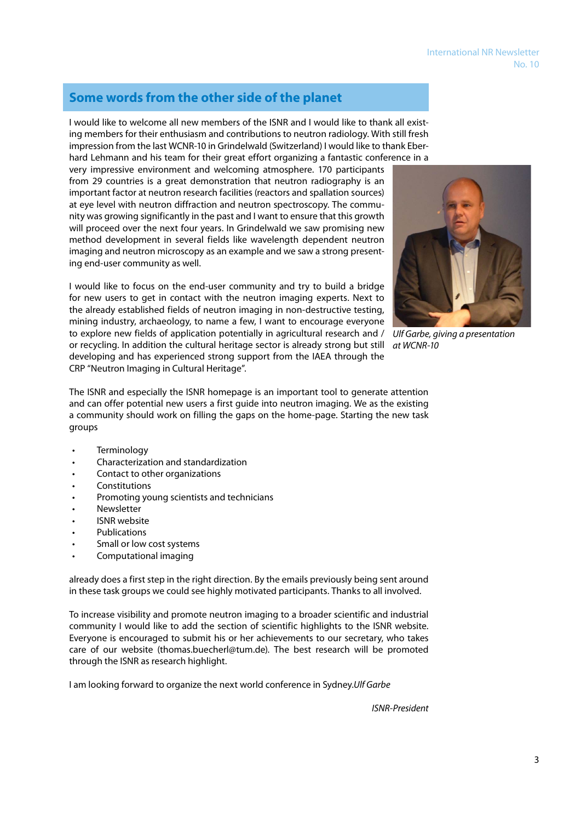# **Some words from the other side of the planet**

I would like to welcome all new members of the ISNR and I would like to thank all existing members for their enthusiasm and contributions to neutron radiology. With still fresh impression from the last WCNR-10 in Grindelwald (Switzerland) I would like to thank Eberhard Lehmann and his team for their great effort organizing a fantastic conference in a

very impressive environment and welcoming atmosphere. 170 participants from 29 countries is a great demonstration that neutron radiography is an important factor at neutron research facilities (reactors and spallation sources) at eye level with neutron diffraction and neutron spectroscopy. The community was growing significantly in the past and I want to ensure that this growth will proceed over the next four years. In Grindelwald we saw promising new method development in several fields like wavelength dependent neutron imaging and neutron microscopy as an example and we saw a strong presenting end-user community as well.

I would like to focus on the end-user community and try to build a bridge for new users to get in contact with the neutron imaging experts. Next to the already established fields of neutron imaging in non-destructive testing, mining industry, archaeology, to name a few, I want to encourage everyone to explore new fields of application potentially in agricultural research and / or recycling. In addition the cultural heritage sector is already strong but still *at WCNR-10*  developing and has experienced strong support from the IAEA through the CRP "Neutron Imaging in Cultural Heritage".

The ISNR and especially the ISNR homepage is an important tool to generate attention and can offer potential new users a first guide into neutron imaging. We as the existing a community should work on filling the gaps on the home-page. Starting the new task groups

- • Terminology
- Characterization and standardization
- Contact to other organizations
- **Constitutions**
- Promoting young scientists and technicians
- **Newsletter**
- **ISNR** website
- **Publications**
- Small or low cost systems
- Computational imaging

already does a first step in the right direction. By the emails previously being sent around in these task groups we could see highly motivated participants. Thanks to all involved.

To increase visibility and promote neutron imaging to a broader scientific and industrial community I would like to add the section of scientific highlights to the ISNR website. Everyone is encouraged to submit his or her achievements to our secretary, who takes care of our website (thomas.buecherl@tum.de). The best research will be promoted through the ISNR as research highlight.

I am looking forward to organize the next world conference in Sydney.*Ulf Garbe*

*ISNR-President*



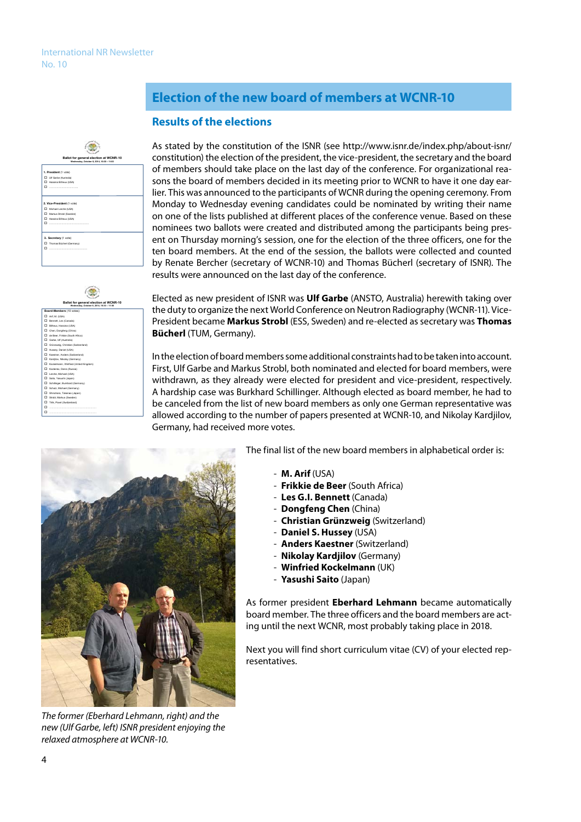#### **Ballot for general election at WCNR-10 Wednesday, October 8, 2014, 10:30 – 11:00 1. President** (1 vote) Ulf Garbe (Australia) Hassina Bilheux (USA) …………………………….. **2. Vice-President** (1 vote) Michael Lerche (USA) Markus Strobl (Sweden) Hassina Bilheux (USA) ………………………………………… **3. Secretary** (1 vote) Thomas Bücherl (Germany) ……………………………………….



# **Election of the new board of members at WCNR-10**

### **Results of the elections**

As stated by the constitution of the ISNR (see http://www.isnr.de/index.php/about-isnr/ constitution) the election of the president, the vice-president, the secretary and the board of members should take place on the last day of the conference. For organizational reasons the board of members decided in its meeting prior to WCNR to have it one day earlier. This was announced to the participants of WCNR during the opening ceremony. From Monday to Wednesday evening candidates could be nominated by writing their name on one of the lists published at different places of the conference venue. Based on these nominees two ballots were created and distributed among the participants being present on Thursday morning's session, one for the election of the three officers, one for the ten board members. At the end of the session, the ballots were collected and counted by Renate Bercher (secretary of WCNR-10) and Thomas Bücherl (secretary of ISNR). The results were announced on the last day of the conference.

Elected as new president of ISNR was **Ulf Garbe** (ANSTO, Australia) herewith taking over the duty to organize the next World Conference on Neutron Radiography (WCNR-11). Vice-President became **Markus Strobl** (ESS, Sweden) and re-elected as secretary was **Thomas Bücherl** (TUM, Germany).

In the election of board members some additional constraints had to be taken into account. First, Ulf Garbe and Markus Strobl, both nominated and elected for board members, were withdrawn, as they already were elected for president and vice-president, respectively. A hardship case was Burkhard Schillinger. Although elected as board member, he had to be canceled from the list of new board members as only one German representative was allowed according to the number of papers presented at WCNR-10, and Nikolay Kardjilov, Germany, had received more votes.



*The former (Eberhard Lehmann, right) and the new (Ulf Garbe, left) ISNR president enjoying the relaxed atmosphere at WCNR-10.*

The final list of the new board members in alphabetical order is:

- **M. Arif** (USA)
- **Frikkie de Beer** (South Africa)
- **Les G.I. Bennett** (Canada)
- **Dongfeng Chen** (China)
- **Christian Grünzweig** (Switzerland)
- **Daniel S. Hussey** (USA)
- **Anders Kaestner** (Switzerland)
- **Nikolay Kardjilov** (Germany)
- **Winfried Kockelmann** (UK)
- **Yasushi Saito** (Japan)

As former president **Eberhard Lehmann** became automatically board member. The three officers and the board members are acting until the next WCNR, most probably taking place in 2018.

Next you will find short curriculum vitae (CV) of your elected representatives.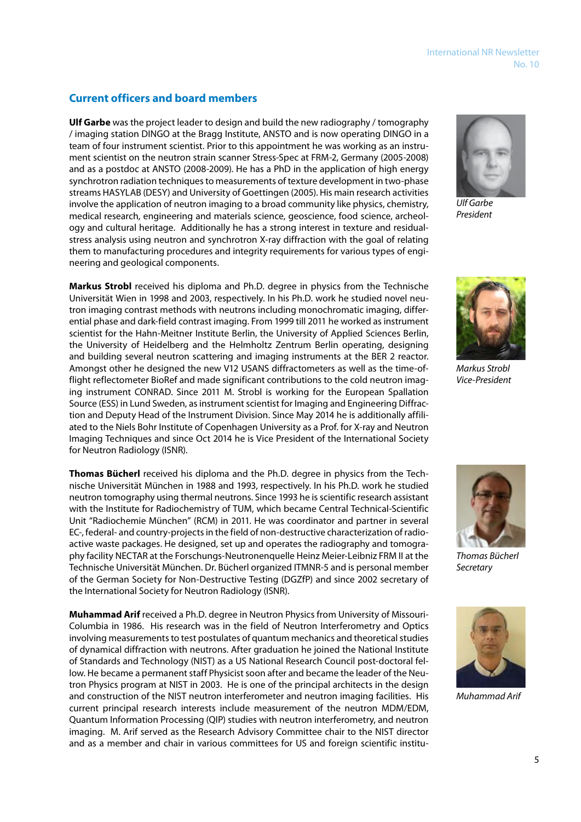### **Current officers and board members**

**Ulf Garbe** was the project leader to design and build the new radiography / tomography / imaging station DINGO at the Bragg Institute, ANSTO and is now operating DINGO in a team of four instrument scientist. Prior to this appointment he was working as an instrument scientist on the neutron strain scanner Stress-Spec at FRM-2, Germany (2005-2008) and as a postdoc at ANSTO (2008-2009). He has a PhD in the application of high energy synchrotron radiation techniques to measurements of texture development in two-phase streams HASYLAB (DESY) and University of Goettingen (2005). His main research activities involve the application of neutron imaging to a broad community like physics, chemistry, medical research, engineering and materials science, geoscience, food science, archeology and cultural heritage. Additionally he has a strong interest in texture and residualstress analysis using neutron and synchrotron X-ray diffraction with the goal of relating them to manufacturing procedures and integrity requirements for various types of engineering and geological components.

**Markus Strobl** received his diploma and Ph.D. degree in physics from the Technische Universität Wien in 1998 and 2003, respectively. In his Ph.D. work he studied novel neutron imaging contrast methods with neutrons including monochromatic imaging, differential phase and dark-field contrast imaging. From 1999 till 2011 he worked as instrument scientist for the Hahn-Meitner Institute Berlin, the University of Applied Sciences Berlin, the University of Heidelberg and the Helmholtz Zentrum Berlin operating, designing and building several neutron scattering and imaging instruments at the BER 2 reactor. Amongst other he designed the new V12 USANS diffractometers as well as the time-offlight reflectometer BioRef and made significant contributions to the cold neutron imaging instrument CONRAD. Since 2011 M. Strobl is working for the European Spallation Source (ESS) in Lund Sweden, as instrument scientist for Imaging and Engineering Diffraction and Deputy Head of the Instrument Division. Since May 2014 he is additionally affiliated to the Niels Bohr Institute of Copenhagen University as a Prof. for X-ray and Neutron Imaging Techniques and since Oct 2014 he is Vice President of the International Society for Neutron Radiology (ISNR).

**Thomas Bücherl** received his diploma and the Ph.D. degree in physics from the Technische Universität München in 1988 and 1993, respectively. In his Ph.D. work he studied neutron tomography using thermal neutrons. Since 1993 he is scientific research assistant with the Institute for Radiochemistry of TUM, which became Central Technical-Scientific Unit "Radiochemie München" (RCM) in 2011. He was coordinator and partner in several EC-, federal- and country-projects in the field of non-destructive characterization of radioactive waste packages. He designed, set up and operates the radiography and tomography facility NECTAR at the Forschungs-Neutronenquelle Heinz Meier-Leibniz FRM II at the Technische Universität München. Dr. Bücherl organized ITMNR-5 and is personal member of the German Society for Non-Destructive Testing (DGZfP) and since 2002 secretary of the International Society for Neutron Radiology (ISNR).

**Muhammad Arif** received a Ph.D. degree in Neutron Physics from University of Missouri-Columbia in 1986. His research was in the field of Neutron Interferometry and Optics involving measurements to test postulates of quantum mechanics and theoretical studies of dynamical diffraction with neutrons. After graduation he joined the National Institute of Standards and Technology (NIST) as a US National Research Council post-doctoral fellow. He became a permanent staff Physicist soon after and became the leader of the Neutron Physics program at NIST in 2003. He is one of the principal architects in the design and construction of the NIST neutron interferometer and neutron imaging facilities. His current principal research interests include measurement of the neutron MDM/EDM, Quantum Information Processing (QIP) studies with neutron interferometry, and neutron imaging. M. Arif served as the Research Advisory Committee chair to the NIST director and as a member and chair in various committees for US and foreign scientific institu-



*Ulf Garbe President*



*Markus Strobl Vice-President*



*Thomas Bücherl Secretary*



*Muhammad Arif*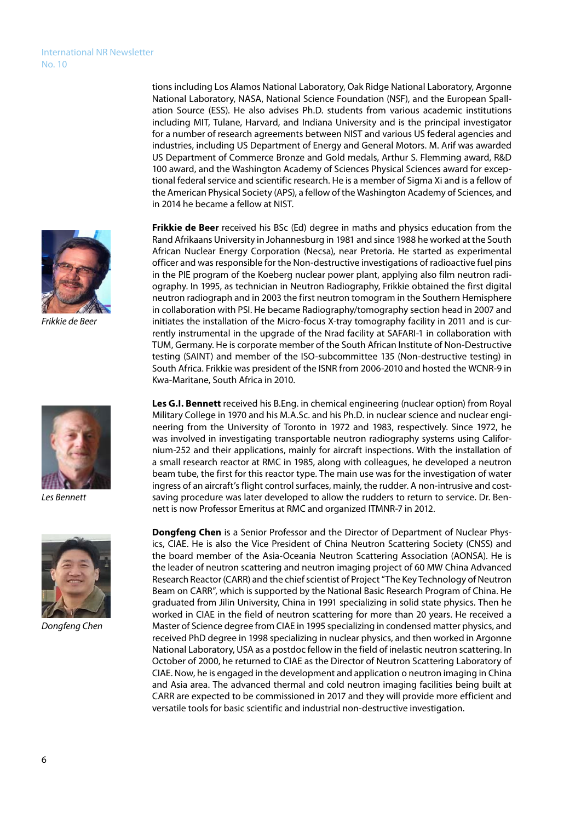*Frikkie de Beer*



*Les Bennett*



*Dongfeng Chen*

tions including Los Alamos National Laboratory, Oak Ridge National Laboratory, Argonne National Laboratory, NASA, National Science Foundation (NSF), and the European Spallation Source (ESS). He also advises Ph.D. students from various academic institutions including MIT, Tulane, Harvard, and Indiana University and is the principal investigator for a number of research agreements between NIST and various US federal agencies and industries, including US Department of Energy and General Motors. M. Arif was awarded US Department of Commerce Bronze and Gold medals, Arthur S. Flemming award, R&D 100 award, and the Washington Academy of Sciences Physical Sciences award for exceptional federal service and scientific research. He is a member of Sigma Xi and is a fellow of the American Physical Society (APS), a fellow of the Washington Academy of Sciences, and in 2014 he became a fellow at NIST.

**Frikkie de Beer** received his BSc (Ed) degree in maths and physics education from the Rand Afrikaans University in Johannesburg in 1981 and since 1988 he worked at the South African Nuclear Energy Corporation (Necsa), near Pretoria. He started as experimental officer and was responsible for the Non-destructive investigations of radioactive fuel pins in the PIE program of the Koeberg nuclear power plant, applying also film neutron radiography. In 1995, as technician in Neutron Radiography, Frikkie obtained the first digital neutron radiograph and in 2003 the first neutron tomogram in the Southern Hemisphere in collaboration with PSI. He became Radiography/tomography section head in 2007 and initiates the installation of the Micro-focus X-tray tomography facility in 2011 and is currently instrumental in the upgrade of the Nrad facility at SAFARI-1 in collaboration with TUM, Germany. He is corporate member of the South African Institute of Non-Destructive testing (SAINT) and member of the ISO-subcommittee 135 (Non-destructive testing) in South Africa. Frikkie was president of the ISNR from 2006-2010 and hosted the WCNR-9 in Kwa-Maritane, South Africa in 2010.

**Les G.I. Bennett** received his B.Eng. in chemical engineering (nuclear option) from Royal Military College in 1970 and his M.A.Sc. and his Ph.D. in nuclear science and nuclear engineering from the University of Toronto in 1972 and 1983, respectively. Since 1972, he was involved in investigating transportable neutron radiography systems using Californium-252 and their applications, mainly for aircraft inspections. With the installation of a small research reactor at RMC in 1985, along with colleagues, he developed a neutron beam tube, the first for this reactor type. The main use was for the investigation of water ingress of an aircraft's flight control surfaces, mainly, the rudder. A non-intrusive and costsaving procedure was later developed to allow the rudders to return to service. Dr. Bennett is now Professor Emeritus at RMC and organized ITMNR-7 in 2012.

**Dongfeng Chen** is a Senior Professor and the Director of Department of Nuclear Physics, CIAE. He is also the Vice President of China Neutron Scattering Society (CNSS) and the board member of the Asia-Oceania Neutron Scattering Association (AONSA). He is the leader of neutron scattering and neutron imaging project of 60 MW China Advanced Research Reactor (CARR) and the chief scientist of Project "The Key Technology of Neutron Beam on CARR", which is supported by the National Basic Research Program of China. He graduated from Jilin University, China in 1991 specializing in solid state physics. Then he worked in CIAE in the field of neutron scattering for more than 20 years. He received a Master of Science degree from CIAE in 1995 specializing in condensed matter physics, and received PhD degree in 1998 specializing in nuclear physics, and then worked in Argonne National Laboratory, USA as a postdoc fellow in the field of inelastic neutron scattering. In October of 2000, he returned to CIAE as the Director of Neutron Scattering Laboratory of CIAE. Now, he is engaged in the development and application o neutron imaging in China and Asia area. The advanced thermal and cold neutron imaging facilities being built at CARR are expected to be commissioned in 2017 and they will provide more efficient and versatile tools for basic scientific and industrial non-destructive investigation.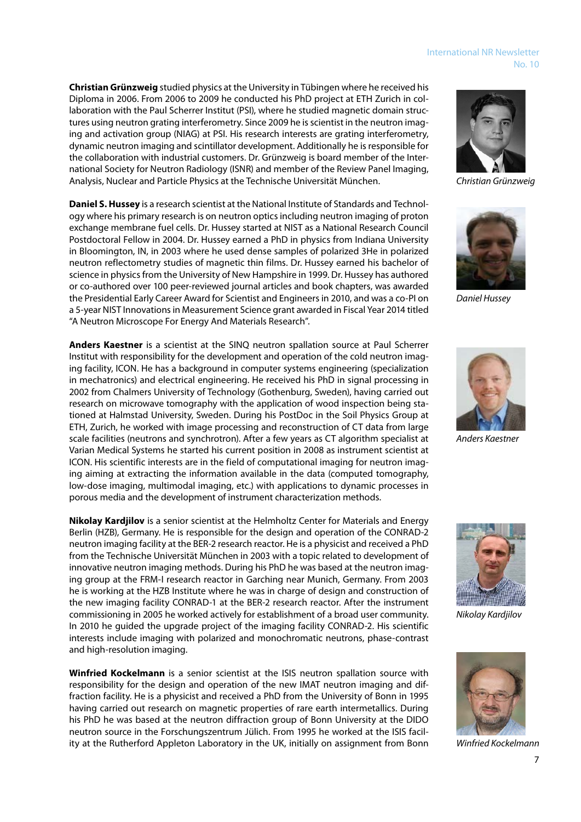#### International NR Newsletter No. 10

**Christian Grünzweig** studied physics at the University in Tübingen where he received his Diploma in 2006. From 2006 to 2009 he conducted his PhD project at ETH Zurich in collaboration with the Paul Scherrer Institut (PSI), where he studied magnetic domain structures using neutron grating interferometry. Since 2009 he is scientist in the neutron imaging and activation group (NIAG) at PSI. His research interests are grating interferometry, dynamic neutron imaging and scintillator development. Additionally he is responsible for the collaboration with industrial customers. Dr. Grünzweig is board member of the International Society for Neutron Radiology (ISNR) and member of the Review Panel Imaging, Analysis, Nuclear and Particle Physics at the Technische Universität München.

**Daniel S. Hussey** is a research scientist at the National Institute of Standards and Technology where his primary research is on neutron optics including neutron imaging of proton exchange membrane fuel cells. Dr. Hussey started at NIST as a National Research Council Postdoctoral Fellow in 2004. Dr. Hussey earned a PhD in physics from Indiana University in Bloomington, IN, in 2003 where he used dense samples of polarized 3He in polarized neutron reflectometry studies of magnetic thin films. Dr. Hussey earned his bachelor of science in physics from the University of New Hampshire in 1999. Dr. Hussey has authored or co-authored over 100 peer-reviewed journal articles and book chapters, was awarded the Presidential Early Career Award for Scientist and Engineers in 2010, and was a co-PI on a 5-year NIST Innovations in Measurement Science grant awarded in Fiscal Year 2014 titled "A Neutron Microscope For Energy And Materials Research".

**Anders Kaestner** is a scientist at the SINQ neutron spallation source at Paul Scherrer Institut with responsibility for the development and operation of the cold neutron imaging facility, ICON. He has a background in computer systems engineering (specialization in mechatronics) and electrical engineering. He received his PhD in signal processing in 2002 from Chalmers University of Technology (Gothenburg, Sweden), having carried out research on microwave tomography with the application of wood inspection being stationed at Halmstad University, Sweden. During his PostDoc in the Soil Physics Group at ETH, Zurich, he worked with image processing and reconstruction of CT data from large scale facilities (neutrons and synchrotron). After a few years as CT algorithm specialist at Varian Medical Systems he started his current position in 2008 as instrument scientist at ICON. His scientific interests are in the field of computational imaging for neutron imaging aiming at extracting the information available in the data (computed tomography, low-dose imaging, multimodal imaging, etc.) with applications to dynamic processes in porous media and the development of instrument characterization methods.

**Nikolay Kardjilov** is a senior scientist at the Helmholtz Center for Materials and Energy Berlin (HZB), Germany. He is responsible for the design and operation of the CONRAD-2 neutron imaging facility at the BER-2 research reactor. He is a physicist and received a PhD from the Technische Universität München in 2003 with a topic related to development of innovative neutron imaging methods. During his PhD he was based at the neutron imaging group at the FRM-I research reactor in Garching near Munich, Germany. From 2003 he is working at the HZB Institute where he was in charge of design and construction of the new imaging facility CONRAD-1 at the BER-2 research reactor. After the instrument commissioning in 2005 he worked actively for establishment of a broad user community. In 2010 he guided the upgrade project of the imaging facility CONRAD-2. His scientific interests include imaging with polarized and monochromatic neutrons, phase-contrast and high-resolution imaging.

**Winfried Kockelmann** is a senior scientist at the ISIS neutron spallation source with responsibility for the design and operation of the new IMAT neutron imaging and diffraction facility. He is a physicist and received a PhD from the University of Bonn in 1995 having carried out research on magnetic properties of rare earth intermetallics. During his PhD he was based at the neutron diffraction group of Bonn University at the DIDO neutron source in the Forschungszentrum Jülich. From 1995 he worked at the ISIS facility at the Rutherford Appleton Laboratory in the UK, initially on assignment from Bonn



*Christian Grünzweig*



*Daniel Hussey*



*Anders Kaestner*



*Nikolay Kardjilov*



*Winfried Kockelmann*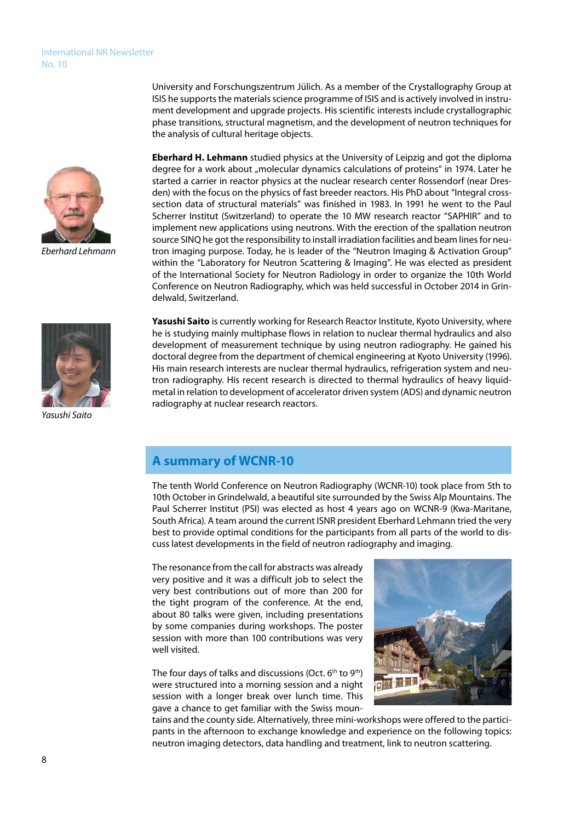

*Eberhard Lehmann*

**Eberhard H. Lehmann** studied physics at the University of Leipzig and got the diploma degree for a work about "molecular dynamics calculations of proteins" in 1974. Later he started a carrier in reactor physics at the nuclear research center Rossendorf (near Dresden) with the focus on the physics of fast breeder reactors. His PhD about "Integral crosssection data of structural materials" was finished in 1983. In 1991 he went to the Paul Scherrer Institut (Switzerland) to operate the 10 MW research reactor "SAPHIR" and to implement new applications using neutrons. With the erection of the spallation neutron source SINQ he got the responsibility to install irradiation facilities and beam lines for neutron imaging purpose. Today, he is leader of the "Neutron Imaging & Activation Group" within the "Laboratory for Neutron Scattering & Imaging". He was elected as president of the International Society for Neutron Radiology in order to organize the 10th World Conference on Neutron Radiography, which was held successful in October 2014 in Grin-

University and Forschungszentrum Jülich. As a member of the Crystallography Group at ISIS he supports the materials science programme of ISIS and is actively involved in instrument development and upgrade projects. His scientific interests include crystallographic phase transitions, structural magnetism, and the development of neutron techniques for



*Yasushi Saito*

Yasushi Saito is currently working for Research Reactor Institute, Kyoto University, where he is studying mainly multiphase flows in relation to nuclear thermal hydraulics and also development of measurement technique by using neutron radiography. He gained his doctoral degree from the department of chemical engineering at Kyoto University (1996). His main research interests are nuclear thermal hydraulics, refrigeration system and neutron radiography. His recent research is directed to thermal hydraulics of heavy liquidmetal in relation to development of accelerator driven system (ADS) and dynamic neutron radiography at nuclear research reactors.

# **A summary of WCNR-10**

delwald, Switzerland.

the analysis of cultural heritage objects.

The tenth World Conference on Neutron Radiography (WCNR-10) took place from 5th to 10th October in Grindelwald, a beautiful site surrounded by the Swiss Alp Mountains. The Paul Scherrer Institut (PSI) was elected as host 4 years ago on WCNR-9 (Kwa-Maritane, South Africa). A team around the current ISNR president Eberhard Lehmann tried the very best to provide optimal conditions for the participants from all parts of the world to discuss latest developments in the field of neutron radiography and imaging.

The resonance from the call for abstracts was already very positive and it was a difficult job to select the very best contributions out of more than 200 for the tight program of the conference. At the end, about 80 talks were given, including presentations by some companies during workshops. The poster session with more than 100 contributions was very well visited.

The four days of talks and discussions (Oct. 6<sup>th</sup> to 9<sup>th</sup>) were structured into a morning session and a night session with a longer break over lunch time. This gave a chance to get familiar with the Swiss moun-



tains and the county side. Alternatively, three mini-workshops were offered to the participants in the afternoon to exchange knowledge and experience on the following topics: neutron imaging detectors, data handling and treatment, link to neutron scattering.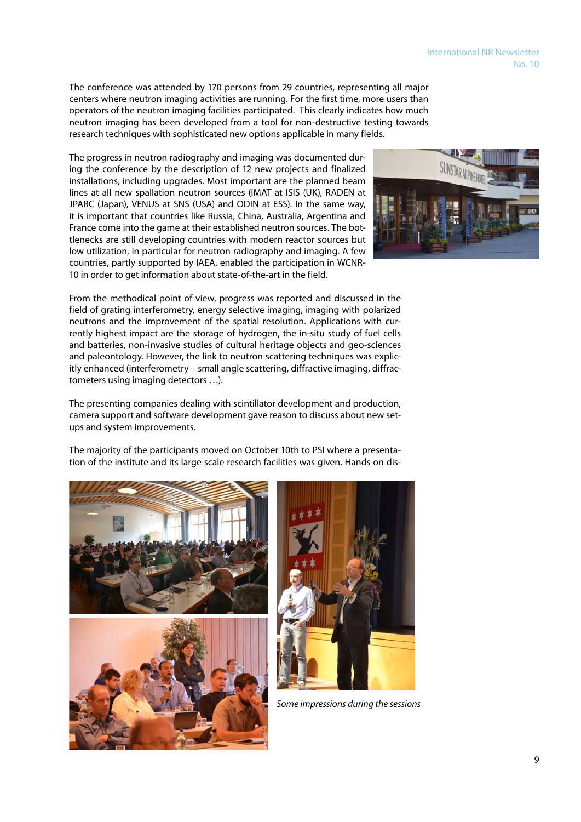No. 10

International NR Newsletter

The conference was attended by 170 persons from 29 countries, representing all major centers where neutron imaging activities are running. For the first time, more users than operators of the neutron imaging facilities participated. This clearly indicates how much neutron imaging has been developed from a tool for non-destructive testing towards research techniques with sophisticated new options applicable in many fields.

The progress in neutron radiography and imaging was documented during the conference by the description of 12 new projects and finalized installations, including upgrades. Most important are the planned beam lines at all new spallation neutron sources (IMAT at ISIS (UK), RADEN at JPARC (Japan), VENUS at SNS (USA) and ODIN at ESS). In the same way, it is important that countries like Russia, China, Australia, Argentina and France come into the game at their established neutron sources. The bottlenecks are still developing countries with modern reactor sources but low utilization, in particular for neutron radiography and imaging. A few countries, partly supported by IAEA, enabled the participation in WCNR-10 in order to get information about state-of-the-art in the field.



From the methodical point of view, progress was reported and discussed in the field of grating interferometry, energy selective imaging, imaging with polarized neutrons and the improvement of the spatial resolution. Applications with currently highest impact are the storage of hydrogen, the in-situ study of fuel cells and batteries, non-invasive studies of cultural heritage objects and geo-sciences and paleontology. However, the link to neutron scattering techniques was explicitly enhanced (interferometry – small angle scattering, diffractive imaging, diffractometers using imaging detectors …).

The presenting companies dealing with scintillator development and production, camera support and software development gave reason to discuss about new setups and system improvements.

The majority of the participants moved on October 10th to PSI where a presentation of the institute and its large scale research facilities was given. Hands on dis-





*Some impressions during the sessions*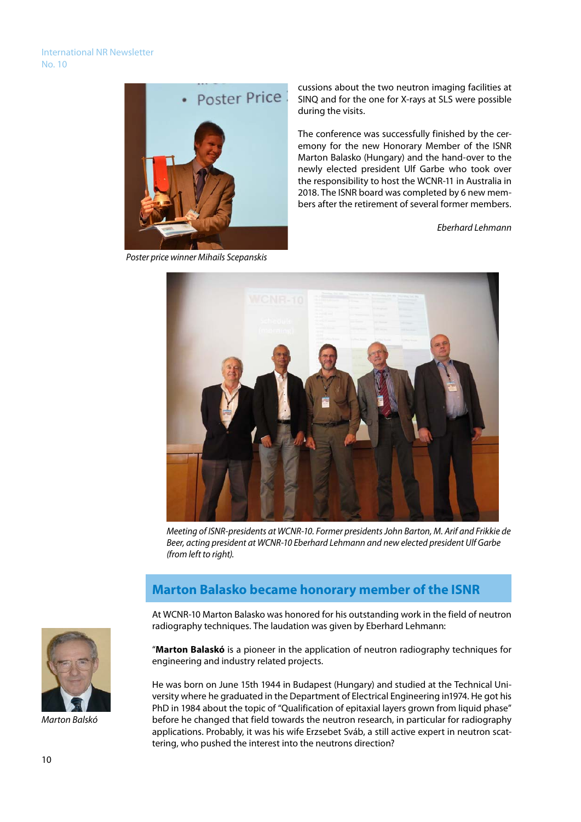

 *Poster price winner Mihails Scepanskis*

cussions about the two neutron imaging facilities at SINQ and for the one for X-rays at SLS were possible during the visits.

The conference was successfully finished by the ceremony for the new Honorary Member of the ISNR Marton Balasko (Hungary) and the hand-over to the newly elected president Ulf Garbe who took over the responsibility to host the WCNR-11 in Australia in 2018. The ISNR board was completed by 6 new members after the retirement of several former members.

*Eberhard Lehmann*



*Meeting of ISNR-presidents at WCNR-10. Former presidents John Barton, M. Arif and Frikkie de Beer, acting president at WCNR-10 Eberhard Lehmann and new elected president Ulf Garbe (from left to right).*

# **Marton Balasko became honorary member of the ISNR**

At WCNR-10 Marton Balasko was honored for his outstanding work in the field of neutron radiography techniques. The laudation was given by Eberhard Lehmann:



He was born on June 15th 1944 in Budapest (Hungary) and studied at the Technical University where he graduated in the Department of Electrical Engineering in1974. He got his PhD in 1984 about the topic of "Qualification of epitaxial layers grown from liquid phase" before he changed that field towards the neutron research, in particular for radiography applications. Probably, it was his wife Erzsebet Sváb, a still active expert in neutron scattering, who pushed the interest into the neutrons direction?



*Marton Balskó*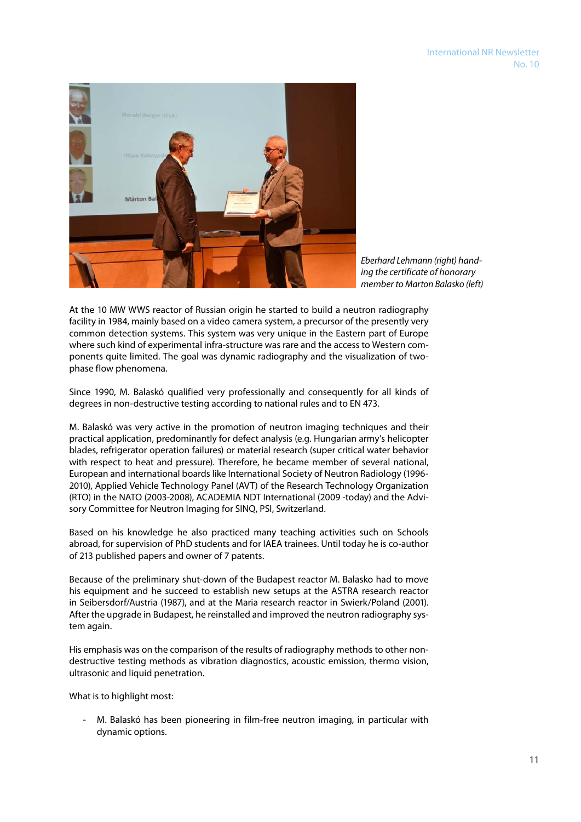

*Eberhard Lehmann (right) handing the certificate of honorary member to Marton Balasko (left)* 

At the 10 MW WWS reactor of Russian origin he started to build a neutron radiography facility in 1984, mainly based on a video camera system, a precursor of the presently very common detection systems. This system was very unique in the Eastern part of Europe where such kind of experimental infra-structure was rare and the access to Western components quite limited. The goal was dynamic radiography and the visualization of twophase flow phenomena.

Since 1990, M. Balaskó qualified very professionally and consequently for all kinds of degrees in non-destructive testing according to national rules and to EN 473.

M. Balaskó was very active in the promotion of neutron imaging techniques and their practical application, predominantly for defect analysis (e.g. Hungarian army's helicopter blades, refrigerator operation failures) or material research (super critical water behavior with respect to heat and pressure). Therefore, he became member of several national, European and international boards like International Society of Neutron Radiology (1996- 2010), Applied Vehicle Technology Panel (AVT) of the Research Technology Organization (RTO) in the NATO (2003-2008), ACADEMIA NDT International (2009 -today) and the Advisory Committee for Neutron Imaging for SINQ, PSI, Switzerland.

Based on his knowledge he also practiced many teaching activities such on Schools abroad, for supervision of PhD students and for IAEA trainees. Until today he is co-author of 213 published papers and owner of 7 patents.

Because of the preliminary shut-down of the Budapest reactor M. Balasko had to move his equipment and he succeed to establish new setups at the ASTRA research reactor in Seibersdorf/Austria (1987), and at the Maria research reactor in Swierk/Poland (2001). After the upgrade in Budapest, he reinstalled and improved the neutron radiography system again.

His emphasis was on the comparison of the results of radiography methods to other nondestructive testing methods as vibration diagnostics, acoustic emission, thermo vision, ultrasonic and liquid penetration.

What is to highlight most:

M. Balaskó has been pioneering in film-free neutron imaging, in particular with dynamic options.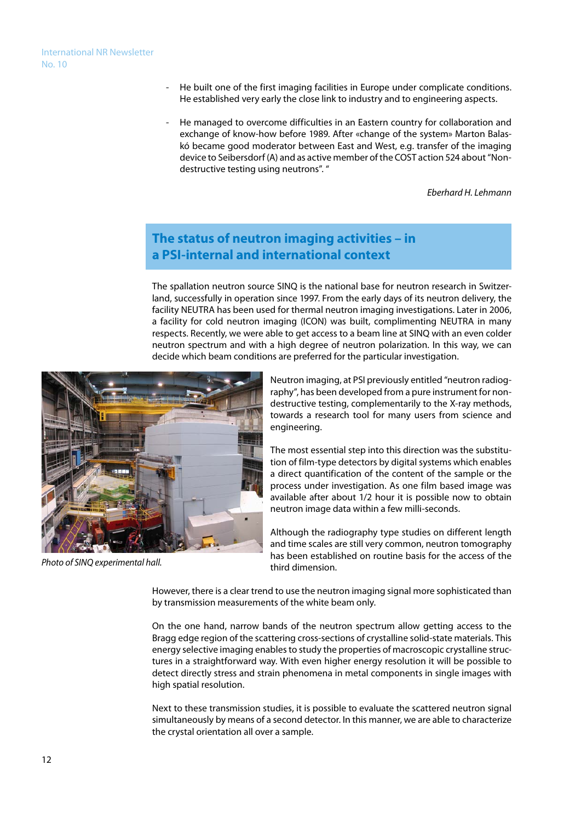- He built one of the first imaging facilities in Europe under complicate conditions. He established very early the close link to industry and to engineering aspects.
- He managed to overcome difficulties in an Eastern country for collaboration and exchange of know-how before 1989. After «change of the system» Marton Balaskó became good moderator between East and West, e.g. transfer of the imaging device to Seibersdorf (A) and as active member of the COST action 524 about "Nondestructive testing using neutrons". "

*Eberhard H. Lehmann*

# **The status of neutron imaging activities – in a PSI-internal and international context**

The spallation neutron source SINQ is the national base for neutron research in Switzerland, successfully in operation since 1997. From the early days of its neutron delivery, the facility NEUTRA has been used for thermal neutron imaging investigations. Later in 2006, a facility for cold neutron imaging (ICON) was built, complimenting NEUTRA in many respects. Recently, we were able to get access to a beam line at SINQ with an even colder neutron spectrum and with a high degree of neutron polarization. In this way, we can decide which beam conditions are preferred for the particular investigation.



*Photo of SINQ experimental hall.*

Neutron imaging, at PSI previously entitled "neutron radiography", has been developed from a pure instrument for nondestructive testing, complementarily to the X-ray methods, towards a research tool for many users from science and engineering.

The most essential step into this direction was the substitution of film-type detectors by digital systems which enables a direct quantification of the content of the sample or the process under investigation. As one film based image was available after about 1/2 hour it is possible now to obtain neutron image data within a few milli-seconds.

Although the radiography type studies on different length and time scales are still very common, neutron tomography has been established on routine basis for the access of the third dimension.

However, there is a clear trend to use the neutron imaging signal more sophisticated than by transmission measurements of the white beam only.

On the one hand, narrow bands of the neutron spectrum allow getting access to the Bragg edge region of the scattering cross-sections of crystalline solid-state materials. This energy selective imaging enables to study the properties of macroscopic crystalline structures in a straightforward way. With even higher energy resolution it will be possible to detect directly stress and strain phenomena in metal components in single images with high spatial resolution.

Next to these transmission studies, it is possible to evaluate the scattered neutron signal simultaneously by means of a second detector. In this manner, we are able to characterize the crystal orientation all over a sample.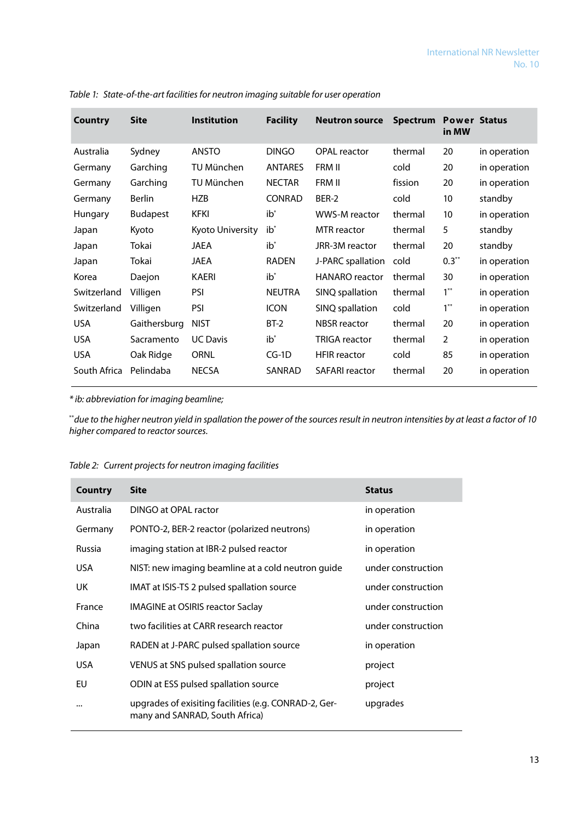| Country      | <b>Site</b>     | <b>Institution</b> | <b>Facility</b> | <b>Neutron source</b> | <b>Spectrum</b> | <b>Power Status</b><br>in MW |              |
|--------------|-----------------|--------------------|-----------------|-----------------------|-----------------|------------------------------|--------------|
| Australia    | Sydney          | <b>ANSTO</b>       | <b>DINGO</b>    | OPAL reactor          | thermal         | 20                           | in operation |
| Germany      | Garching        | TU München         | <b>ANTARES</b>  | FRM II                | cold            | 20                           | in operation |
| Germany      | Garching        | TU München         | <b>NECTAR</b>   | FRM II                | fission         | 20                           | in operation |
| Germany      | <b>Berlin</b>   | <b>HZB</b>         | <b>CONRAD</b>   | BER-2                 | cold            | 10                           | standby      |
| Hungary      | <b>Budapest</b> | <b>KFKI</b>        | $ib^*$          | WWS-M reactor         | thermal         | 10                           | in operation |
| Japan        | Kyoto           | Kyoto University   | $ib^*$          | <b>MTR</b> reactor    | thermal         | 5                            | standby      |
| Japan        | Tokai           | JAEA               | $ib^*$          | JRR-3M reactor        | thermal         | 20                           | standby      |
| Japan        | Tokai           | JAEA               | <b>RADEN</b>    | J-PARC spallation     | cold            | $0.3***$                     | in operation |
| Korea        | Daejon          | <b>KAERI</b>       | $ib^*$          | <b>HANARO</b> reactor | thermal         | 30                           | in operation |
| Switzerland  | Villigen        | <b>PSI</b>         | <b>NEUTRA</b>   | SINQ spallation       | thermal         | $1***$                       | in operation |
| Switzerland  | Villigen        | <b>PSI</b>         | <b>ICON</b>     | SINQ spallation       | cold            | $1***$                       | in operation |
| <b>USA</b>   | Gaithersburg    | <b>NIST</b>        | $BT-2$          | <b>NBSR</b> reactor   | thermal         | 20                           | in operation |
| <b>USA</b>   | Sacramento      | <b>UC Davis</b>    | $ib^*$          | <b>TRIGA reactor</b>  | thermal         | $\overline{2}$               | in operation |
| <b>USA</b>   | Oak Ridge       | <b>ORNL</b>        | $CG-1D$         | <b>HFIR</b> reactor   | cold            | 85                           | in operation |
| South Africa | Pelindaba       | <b>NECSA</b>       | SANRAD          | <b>SAFARI</b> reactor | thermal         | 20                           | in operation |

*Table 1: State-of-the-art facilities for neutron imaging suitable for user operation*

*\* ib: abbreviation for imaging beamline;* 

\*\**due to the higher neutron yield in spallation the power of the sources result in neutron intensities by at least a factor of 10 higher compared to reactor sources.* 

| Country       | <b>Site</b>                                                                             | <b>Status</b>      |
|---------------|-----------------------------------------------------------------------------------------|--------------------|
| Australia     | DINGO at OPAL ractor                                                                    | in operation       |
| Germany       | PONTO-2, BER-2 reactor (polarized neutrons)                                             | in operation       |
| <b>Russia</b> | imaging station at IBR-2 pulsed reactor                                                 | in operation       |
| USA.          | NIST: new imaging beamline at a cold neutron guide                                      | under construction |
| UK.           | IMAT at ISIS-TS 2 pulsed spallation source                                              | under construction |
| France        | <b>IMAGINE at OSIRIS reactor Saclay</b>                                                 | under construction |
| China         | two facilities at CARR research reactor                                                 | under construction |
| Japan         | RADEN at J-PARC pulsed spallation source                                                | in operation       |
| <b>USA</b>    | VENUS at SNS pulsed spallation source                                                   | project            |
| EU            | ODIN at ESS pulsed spallation source                                                    | project            |
| $\cdots$      | upgrades of exisiting facilities (e.g. CONRAD-2, Ger-<br>many and SANRAD, South Africa) | upgrades           |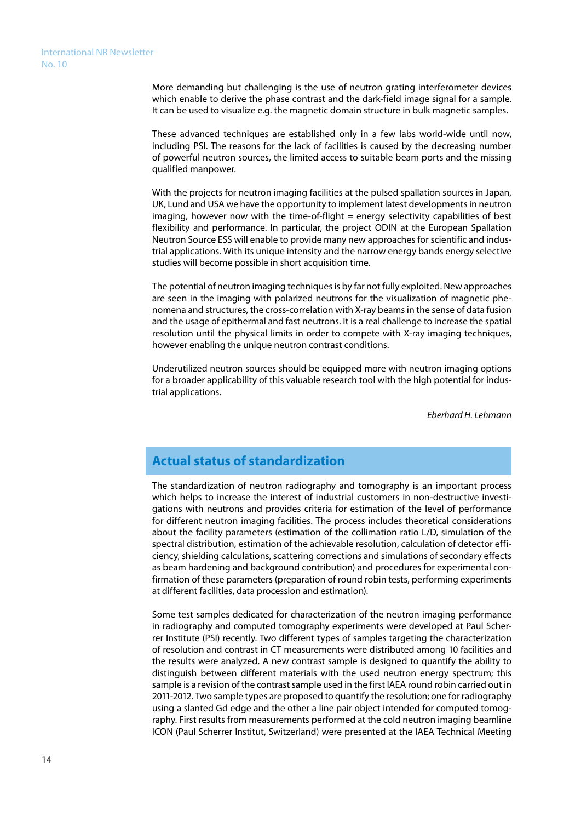More demanding but challenging is the use of neutron grating interferometer devices which enable to derive the phase contrast and the dark-field image signal for a sample. It can be used to visualize e.g. the magnetic domain structure in bulk magnetic samples.

These advanced techniques are established only in a few labs world-wide until now, including PSI. The reasons for the lack of facilities is caused by the decreasing number of powerful neutron sources, the limited access to suitable beam ports and the missing qualified manpower.

With the projects for neutron imaging facilities at the pulsed spallation sources in Japan, UK, Lund and USA we have the opportunity to implement latest developments in neutron imaging, however now with the time-of-flight  $=$  energy selectivity capabilities of best flexibility and performance. In particular, the project ODIN at the European Spallation Neutron Source ESS will enable to provide many new approaches for scientific and industrial applications. With its unique intensity and the narrow energy bands energy selective studies will become possible in short acquisition time.

The potential of neutron imaging techniques is by far not fully exploited. New approaches are seen in the imaging with polarized neutrons for the visualization of magnetic phenomena and structures, the cross-correlation with X-ray beams in the sense of data fusion and the usage of epithermal and fast neutrons. It is a real challenge to increase the spatial resolution until the physical limits in order to compete with X-ray imaging techniques, however enabling the unique neutron contrast conditions.

Underutilized neutron sources should be equipped more with neutron imaging options for a broader applicability of this valuable research tool with the high potential for industrial applications.

*Eberhard H. Lehmann*

# **Actual status of standardization**

The standardization of neutron radiography and tomography is an important process which helps to increase the interest of industrial customers in non-destructive investigations with neutrons and provides criteria for estimation of the level of performance for different neutron imaging facilities. The process includes theoretical considerations about the facility parameters (estimation of the collimation ratio L/D, simulation of the spectral distribution, estimation of the achievable resolution, calculation of detector efficiency, shielding calculations, scattering corrections and simulations of secondary effects as beam hardening and background contribution) and procedures for experimental confirmation of these parameters (preparation of round robin tests, performing experiments at different facilities, data procession and estimation).

Some test samples dedicated for characterization of the neutron imaging performance in radiography and computed tomography experiments were developed at Paul Scherrer Institute (PSI) recently. Two different types of samples targeting the characterization of resolution and contrast in CT measurements were distributed among 10 facilities and the results were analyzed. A new contrast sample is designed to quantify the ability to distinguish between different materials with the used neutron energy spectrum; this sample is a revision of the contrast sample used in the first IAEA round robin carried out in 2011-2012. Two sample types are proposed to quantify the resolution; one for radiography using a slanted Gd edge and the other a line pair object intended for computed tomography. First results from measurements performed at the cold neutron imaging beamline ICON (Paul Scherrer Institut, Switzerland) were presented at the IAEA Technical Meeting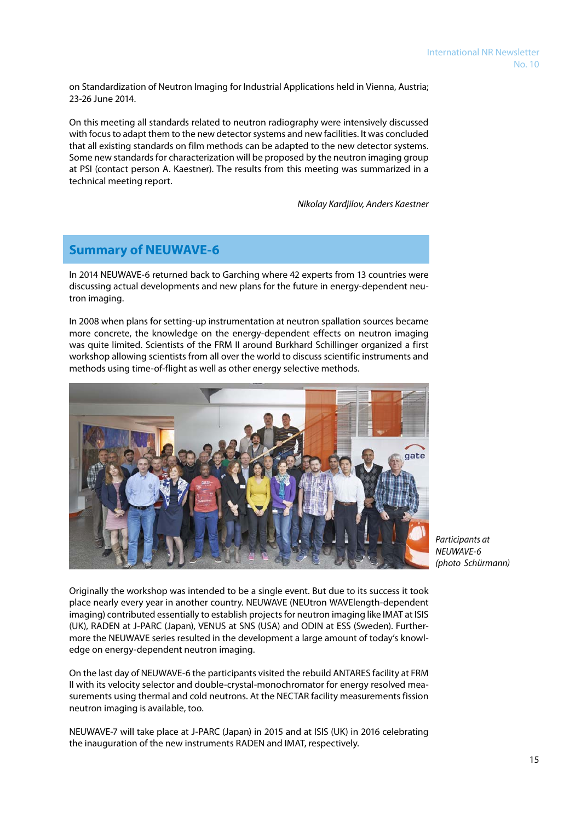on Standardization of Neutron Imaging for Industrial Applications held in Vienna, Austria; 23-26 June 2014.

On this meeting all standards related to neutron radiography were intensively discussed with focus to adapt them to the new detector systems and new facilities. It was concluded that all existing standards on film methods can be adapted to the new detector systems. Some new standards for characterization will be proposed by the neutron imaging group at PSI (contact person A. Kaestner). The results from this meeting was summarized in a technical meeting report.

*Nikolay Kardjilov, Anders Kaestner* 

# **Summary of NEUWAVE-6**

In 2014 NEUWAVE-6 returned back to Garching where 42 experts from 13 countries were discussing actual developments and new plans for the future in energy-dependent neutron imaging.

In 2008 when plans for setting-up instrumentation at neutron spallation sources became more concrete, the knowledge on the energy-dependent effects on neutron imaging was quite limited. Scientists of the FRM II around Burkhard Schillinger organized a first workshop allowing scientists from all over the world to discuss scientific instruments and methods using time-of-flight as well as other energy selective methods.



*Participants at NEUWAVE-6 (photo Schürmann)*

Originally the workshop was intended to be a single event. But due to its success it took place nearly every year in another country. NEUWAVE (NEUtron WAVElength-dependent imaging) contributed essentially to establish projects for neutron imaging like IMAT at ISIS (UK), RADEN at J-PARC (Japan), VENUS at SNS (USA) and ODIN at ESS (Sweden). Furthermore the NEUWAVE series resulted in the development a large amount of today's knowledge on energy-dependent neutron imaging.

On the last day of NEUWAVE-6 the participants visited the rebuild ANTARES facility at FRM II with its velocity selector and double-crystal-monochromator for energy resolved measurements using thermal and cold neutrons. At the NECTAR facility measurements fission neutron imaging is available, too.

NEUWAVE-7 will take place at J-PARC (Japan) in 2015 and at ISIS (UK) in 2016 celebrating the inauguration of the new instruments RADEN and IMAT, respectively.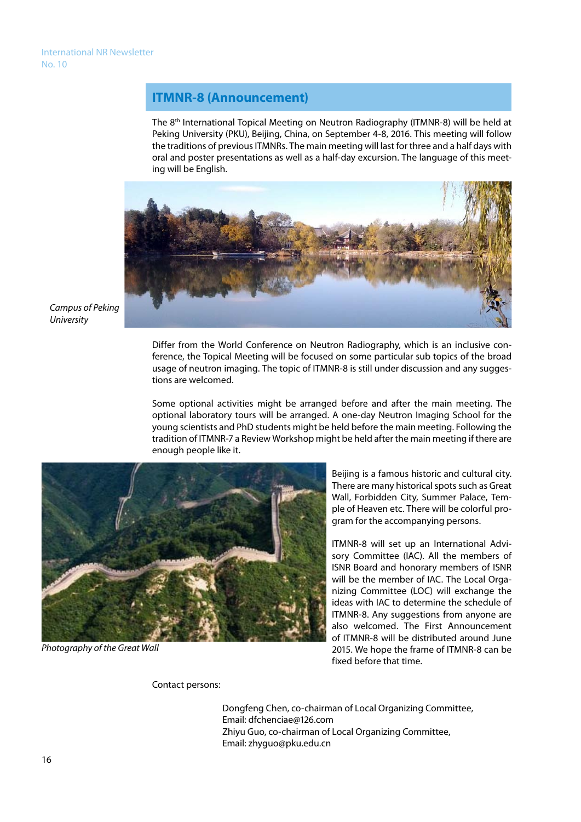# **ITMNR-8 (Announcement)**

The 8th International Topical Meeting on Neutron Radiography (ITMNR-8) will be held at Peking University (PKU), Beijing, China, on September 4-8, 2016. This meeting will follow the traditions of previous ITMNRs. The main meeting will last for three and a half days with oral and poster presentations as well as a half-day excursion. The language of this meeting will be English.



*Campus of Peking University*

> Differ from the World Conference on Neutron Radiography, which is an inclusive conference, the Topical Meeting will be focused on some particular sub topics of the broad usage of neutron imaging. The topic of ITMNR-8 is still under discussion and any suggestions are welcomed.

> Some optional activities might be arranged before and after the main meeting. The optional laboratory tours will be arranged. A one-day Neutron Imaging School for the young scientists and PhD students might be held before the main meeting. Following the tradition of ITMNR-7 a Review Workshop might be held after the main meeting if there are enough people like it.



*Photography of the Great Wall*

Beijing is a famous historic and cultural city. There are many historical spots such as Great Wall, Forbidden City, Summer Palace, Temple of Heaven etc. There will be colorful program for the accompanying persons.

ITMNR-8 will set up an International Advisory Committee (IAC). All the members of ISNR Board and honorary members of ISNR will be the member of IAC. The Local Organizing Committee (LOC) will exchange the ideas with IAC to determine the schedule of ITMNR-8. Any suggestions from anyone are also welcomed. The First Announcement of ITMNR-8 will be distributed around June 2015. We hope the frame of ITMNR-8 can be fixed before that time.

Contact persons:

 Dongfeng Chen, co-chairman of Local Organizing Committee, Email: dfchenciae@126.com Zhiyu Guo, co-chairman of Local Organizing Committee, Email: zhyguo@pku.edu.cn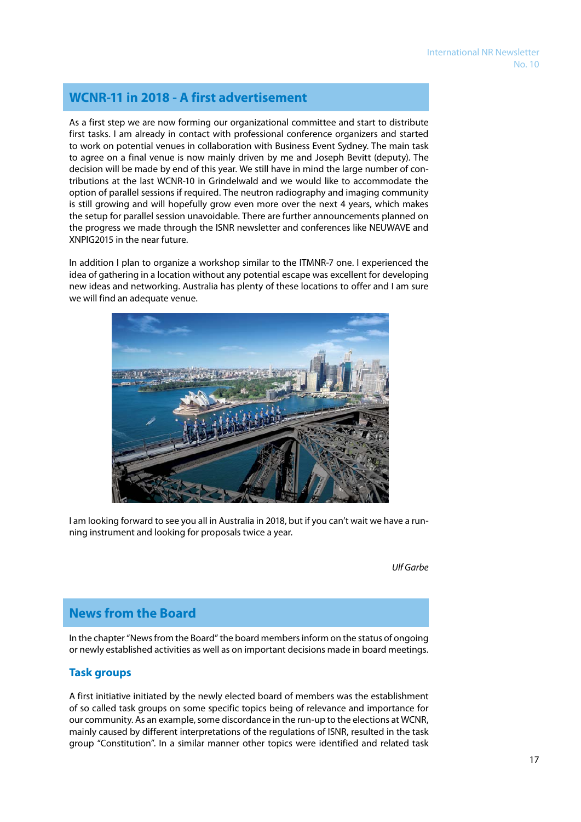# **WCNR-11 in 2018 - A first advertisement**

As a first step we are now forming our organizational committee and start to distribute first tasks. I am already in contact with professional conference organizers and started to work on potential venues in collaboration with Business Event Sydney. The main task to agree on a final venue is now mainly driven by me and Joseph Bevitt (deputy). The decision will be made by end of this year. We still have in mind the large number of contributions at the last WCNR-10 in Grindelwald and we would like to accommodate the option of parallel sessions if required. The neutron radiography and imaging community is still growing and will hopefully grow even more over the next 4 years, which makes the setup for parallel session unavoidable. There are further announcements planned on the progress we made through the ISNR newsletter and conferences like NEUWAVE and XNPIG2015 in the near future.

In addition I plan to organize a workshop similar to the ITMNR-7 one. I experienced the idea of gathering in a location without any potential escape was excellent for developing new ideas and networking. Australia has plenty of these locations to offer and I am sure we will find an adequate venue.



I am looking forward to see you all in Australia in 2018, but if you can't wait we have a running instrument and looking for proposals twice a year.

*Ulf Garbe* 

# **News from the Board**

In the chapter "News from the Board" the board members inform on the status of ongoing or newly established activities as well as on important decisions made in board meetings.

### **Task groups**

A first initiative initiated by the newly elected board of members was the establishment of so called task groups on some specific topics being of relevance and importance for our community. As an example, some discordance in the run-up to the elections at WCNR, mainly caused by different interpretations of the regulations of ISNR, resulted in the task group "Constitution". In a similar manner other topics were identified and related task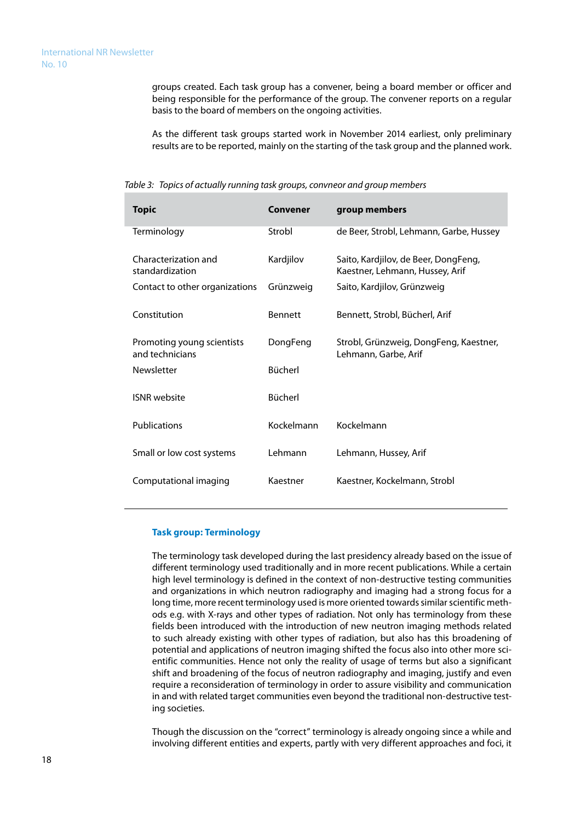groups created. Each task group has a convener, being a board member or officer and being responsible for the performance of the group. The convener reports on a regular basis to the board of members on the ongoing activities.

As the different task groups started work in November 2014 earliest, only preliminary results are to be reported, mainly on the starting of the task group and the planned work.

|  | Convener | aroup members |  |
|--|----------|---------------|--|
|  |          |               |  |

*Table 3: Topics of actually running task groups, convneor and group members*

| Topic                                         | Convener       | group members                                                           |  |  |
|-----------------------------------------------|----------------|-------------------------------------------------------------------------|--|--|
| Terminology                                   | Strobl         | de Beer, Strobl, Lehmann, Garbe, Hussey                                 |  |  |
| Characterization and<br>standardization       | Kardjilov      | Saito, Kardjilov, de Beer, DongFeng,<br>Kaestner, Lehmann, Hussey, Arif |  |  |
| Contact to other organizations                | Grünzweig      | Saito, Kardjilov, Grünzweig                                             |  |  |
| Constitution                                  | <b>Bennett</b> | Bennett, Strobl, Bücherl, Arif                                          |  |  |
| Promoting young scientists<br>and technicians | DongFeng       | Strobl, Grünzweig, DongFeng, Kaestner,<br>Lehmann, Garbe, Arif          |  |  |
| <b>Newsletter</b>                             | <b>Bücherl</b> |                                                                         |  |  |
| <b>ISNR</b> website                           | Bücherl        |                                                                         |  |  |
| Publications                                  | Kockelmann     | Kockelmann                                                              |  |  |
| Small or low cost systems                     | Lehmann        | Lehmann, Hussey, Arif                                                   |  |  |
| Computational imaging                         | Kaestner       | Kaestner, Kockelmann, Strobl                                            |  |  |

#### **Task group: Terminology**

The terminology task developed during the last presidency already based on the issue of different terminology used traditionally and in more recent publications. While a certain high level terminology is defined in the context of non-destructive testing communities and organizations in which neutron radiography and imaging had a strong focus for a long time, more recent terminology used is more oriented towards similar scientific methods e.g. with X-rays and other types of radiation. Not only has terminology from these fields been introduced with the introduction of new neutron imaging methods related to such already existing with other types of radiation, but also has this broadening of potential and applications of neutron imaging shifted the focus also into other more scientific communities. Hence not only the reality of usage of terms but also a significant shift and broadening of the focus of neutron radiography and imaging, justify and even require a reconsideration of terminology in order to assure visibility and communication in and with related target communities even beyond the traditional non-destructive testing societies.

Though the discussion on the "correct" terminology is already ongoing since a while and involving different entities and experts, partly with very different approaches and foci, it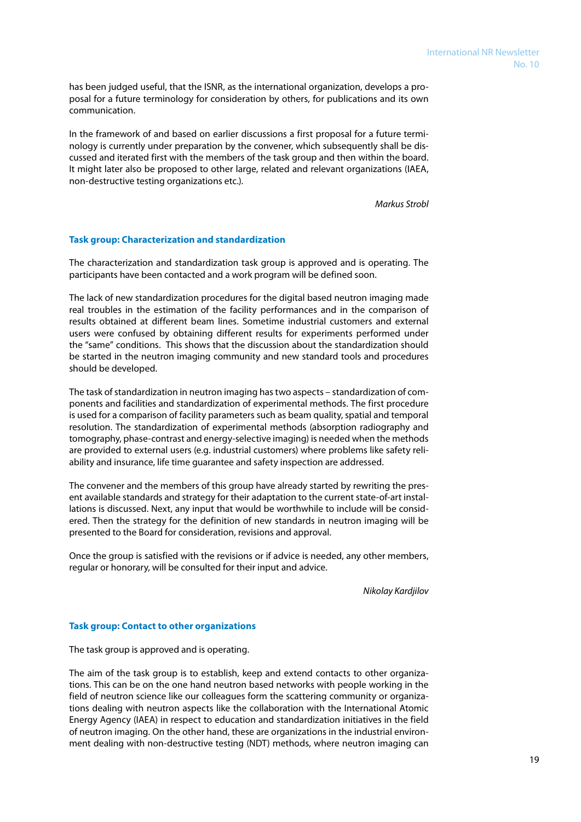has been judged useful, that the ISNR, as the international organization, develops a proposal for a future terminology for consideration by others, for publications and its own communication.

In the framework of and based on earlier discussions a first proposal for a future terminology is currently under preparation by the convener, which subsequently shall be discussed and iterated first with the members of the task group and then within the board. It might later also be proposed to other large, related and relevant organizations (IAEA, non-destructive testing organizations etc.).

 *Markus Strobl* 

#### **Task group: Characterization and standardization**

The characterization and standardization task group is approved and is operating. The participants have been contacted and a work program will be defined soon.

The lack of new standardization procedures for the digital based neutron imaging made real troubles in the estimation of the facility performances and in the comparison of results obtained at different beam lines. Sometime industrial customers and external users were confused by obtaining different results for experiments performed under the "same" conditions. This shows that the discussion about the standardization should be started in the neutron imaging community and new standard tools and procedures should be developed.

The task of standardization in neutron imaging has two aspects – standardization of components and facilities and standardization of experimental methods. The first procedure is used for a comparison of facility parameters such as beam quality, spatial and temporal resolution. The standardization of experimental methods (absorption radiography and tomography, phase-contrast and energy-selective imaging) is needed when the methods are provided to external users (e.g. industrial customers) where problems like safety reliability and insurance, life time guarantee and safety inspection are addressed.

The convener and the members of this group have already started by rewriting the present available standards and strategy for their adaptation to the current state-of-art installations is discussed. Next, any input that would be worthwhile to include will be considered. Then the strategy for the definition of new standards in neutron imaging will be presented to the Board for consideration, revisions and approval.

Once the group is satisfied with the revisions or if advice is needed, any other members, regular or honorary, will be consulted for their input and advice.

*Nikolay Kardjilov* 

#### **Task group: Contact to other organizations**

The task group is approved and is operating.

The aim of the task group is to establish, keep and extend contacts to other organizations. This can be on the one hand neutron based networks with people working in the field of neutron science like our colleagues form the scattering community or organizations dealing with neutron aspects like the collaboration with the International Atomic Energy Agency (IAEA) in respect to education and standardization initiatives in the field of neutron imaging. On the other hand, these are organizations in the industrial environment dealing with non-destructive testing (NDT) methods, where neutron imaging can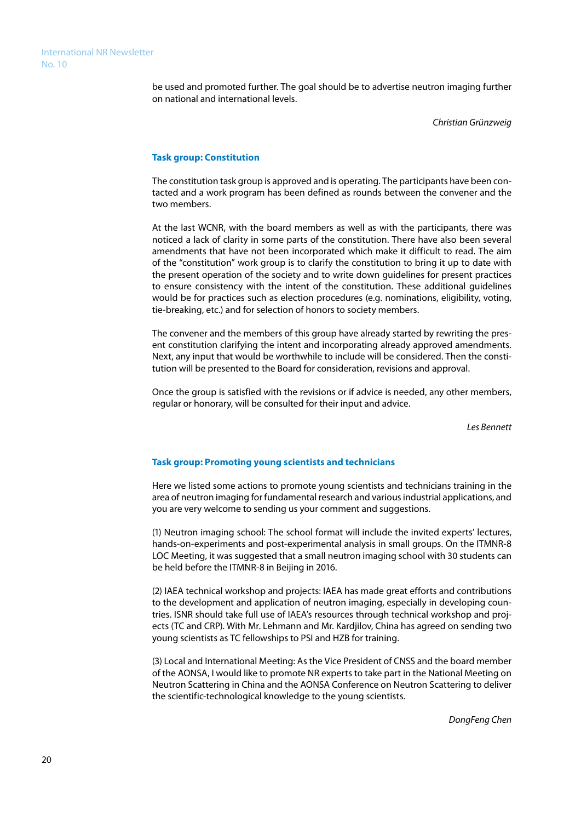be used and promoted further. The goal should be to advertise neutron imaging further on national and international levels.

*Christian Grünzweig*

#### **Task group: Constitution**

The constitution task group is approved and is operating. The participants have been contacted and a work program has been defined as rounds between the convener and the two members.

At the last WCNR, with the board members as well as with the participants, there was noticed a lack of clarity in some parts of the constitution. There have also been several amendments that have not been incorporated which make it difficult to read. The aim of the "constitution" work group is to clarify the constitution to bring it up to date with the present operation of the society and to write down guidelines for present practices to ensure consistency with the intent of the constitution. These additional guidelines would be for practices such as election procedures (e.g. nominations, eligibility, voting, tie-breaking, etc.) and for selection of honors to society members.

The convener and the members of this group have already started by rewriting the present constitution clarifying the intent and incorporating already approved amendments. Next, any input that would be worthwhile to include will be considered. Then the constitution will be presented to the Board for consideration, revisions and approval.

Once the group is satisfied with the revisions or if advice is needed, any other members, regular or honorary, will be consulted for their input and advice.

*Les Bennett*

#### **Task group: Promoting young scientists and technicians**

Here we listed some actions to promote young scientists and technicians training in the area of neutron imaging for fundamental research and various industrial applications, and you are very welcome to sending us your comment and suggestions.

(1) Neutron imaging school: The school format will include the invited experts' lectures, hands-on-experiments and post-experimental analysis in small groups. On the ITMNR-8 LOC Meeting, it was suggested that a small neutron imaging school with 30 students can be held before the ITMNR-8 in Beijing in 2016.

(2) IAEA technical workshop and projects: IAEA has made great efforts and contributions to the development and application of neutron imaging, especially in developing countries. ISNR should take full use of IAEA's resources through technical workshop and projects (TC and CRP). With Mr. Lehmann and Mr. Kardjilov, China has agreed on sending two young scientists as TC fellowships to PSI and HZB for training.

(3) Local and International Meeting: As the Vice President of CNSS and the board member of the AONSA, I would like to promote NR experts to take part in the National Meeting on Neutron Scattering in China and the AONSA Conference on Neutron Scattering to deliver the scientific-technological knowledge to the young scientists.

 *DongFeng Chen*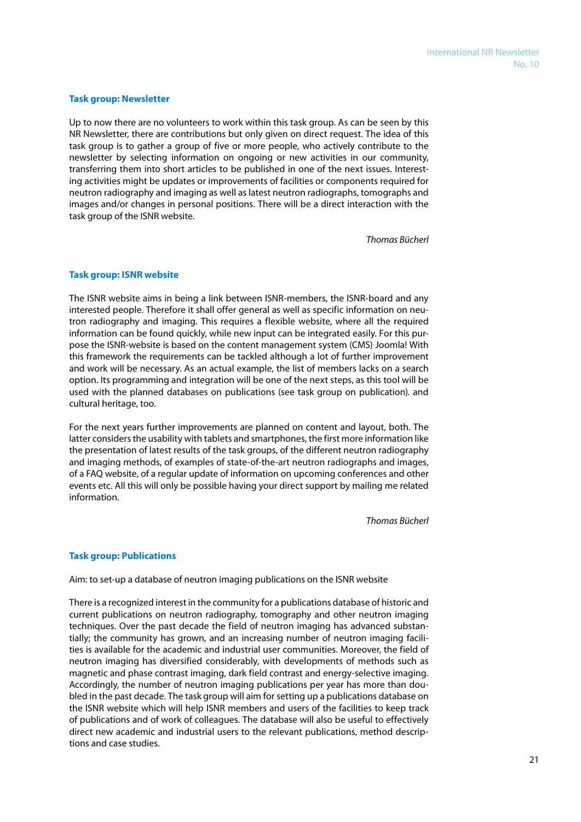#### **Task group: Newsletter**

Up to now there are no volunteers to work within this task group. As can be seen by this NR Newsletter, there are contributions but only given on direct request. The idea of this task group is to gather a group of five or more people, who actively contribute to the newsletter by selecting information on ongoing or new activities in our community, transferring them into short articles to be published in one of the next issues. Interesting activities might be updates or improvements of facilities or components required for neutron radiography and imaging as well as latest neutron radiographs, tomographs and images and/or changes in personal positions. There will be a direct interaction with the task group of the ISNR website.

*Thomas Bücherl*

#### **Task group: ISNR website**

The ISNR website aims in being a link between ISNR-members, the ISNR-board and any interested people. Therefore it shall offer general as well as specific information on neutron radiography and imaging. This requires a flexible website, where all the required information can be found quickly, while new input can be integrated easily. For this purpose the ISNR-website is based on the content management system (CMS) Joomla! With this framework the requirements can be tackled although a lot of further improvement and work will be necessary. As an actual example, the list of members lacks on a search option. Its programming and integration will be one of the next steps, as this tool will be used with the planned databases on publications (see task group on publication). and cultural heritage, too.

For the next years further improvements are planned on content and layout, both. The latter considers the usability with tablets and smartphones, the first more information like the presentation of latest results of the task groups, of the different neutron radiography and imaging methods, of examples of state-of-the-art neutron radiographs and images, of a FAQ website, of a regular update of information on upcoming conferences and other events etc. All this will only be possible having your direct support by mailing me related information.

*Thomas Bücherl*

#### **Task group: Publications**

Aim: to set-up a database of neutron imaging publications on the ISNR website

There is a recognized interest in the community for a publications database of historic and current publications on neutron radiography, tomography and other neutron imaging techniques. Over the past decade the field of neutron imaging has advanced substantially; the community has grown, and an increasing number of neutron imaging facilities is available for the academic and industrial user communities. Moreover, the field of neutron imaging has diversified considerably, with developments of methods such as magnetic and phase contrast imaging, dark field contrast and energy-selective imaging. Accordingly, the number of neutron imaging publications per year has more than doubled in the past decade. The task group will aim for setting up a publications database on the ISNR website which will help ISNR members and users of the facilities to keep track of publications and of work of colleagues. The database will also be useful to effectively direct new academic and industrial users to the relevant publications, method descriptions and case studies.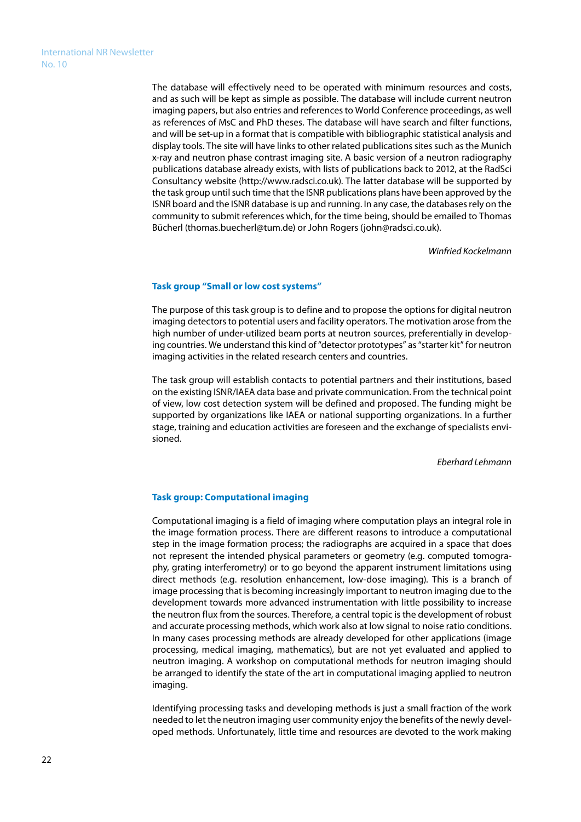The database will effectively need to be operated with minimum resources and costs, and as such will be kept as simple as possible. The database will include current neutron imaging papers, but also entries and references to World Conference proceedings, as well as references of MsC and PhD theses. The database will have search and filter functions, and will be set-up in a format that is compatible with bibliographic statistical analysis and display tools. The site will have links to other related publications sites such as the Munich x-ray and neutron phase contrast imaging site. A basic version of a neutron radiography publications database already exists, with lists of publications back to 2012, at the RadSci Consultancy website (http://www.radsci.co.uk). The latter database will be supported by the task group until such time that the ISNR publications plans have been approved by the ISNR board and the ISNR database is up and running. In any case, the databases rely on the community to submit references which, for the time being, should be emailed to Thomas Bücherl (thomas.buecherl@tum.de) or John Rogers (john@radsci.co.uk).

*Winfried Kockelmann*

#### **Task group "Small or low cost systems"**

The purpose of this task group is to define and to propose the options for digital neutron imaging detectors to potential users and facility operators. The motivation arose from the high number of under-utilized beam ports at neutron sources, preferentially in developing countries. We understand this kind of "detector prototypes" as "starter kit" for neutron imaging activities in the related research centers and countries.

The task group will establish contacts to potential partners and their institutions, based on the existing ISNR/IAEA data base and private communication. From the technical point of view, low cost detection system will be defined and proposed. The funding might be supported by organizations like IAEA or national supporting organizations. In a further stage, training and education activities are foreseen and the exchange of specialists envisioned.

*Eberhard Lehmann*

#### **Task group: Computational imaging**

Computational imaging is a field of imaging where computation plays an integral role in the image formation process. There are different reasons to introduce a computational step in the image formation process; the radiographs are acquired in a space that does not represent the intended physical parameters or geometry (e.g. computed tomography, grating interferometry) or to go beyond the apparent instrument limitations using direct methods (e.g. resolution enhancement, low-dose imaging). This is a branch of image processing that is becoming increasingly important to neutron imaging due to the development towards more advanced instrumentation with little possibility to increase the neutron flux from the sources. Therefore, a central topic is the development of robust and accurate processing methods, which work also at low signal to noise ratio conditions. In many cases processing methods are already developed for other applications (image processing, medical imaging, mathematics), but are not yet evaluated and applied to neutron imaging. A workshop on computational methods for neutron imaging should be arranged to identify the state of the art in computational imaging applied to neutron imaging.

Identifying processing tasks and developing methods is just a small fraction of the work needed to let the neutron imaging user community enjoy the benefits of the newly developed methods. Unfortunately, little time and resources are devoted to the work making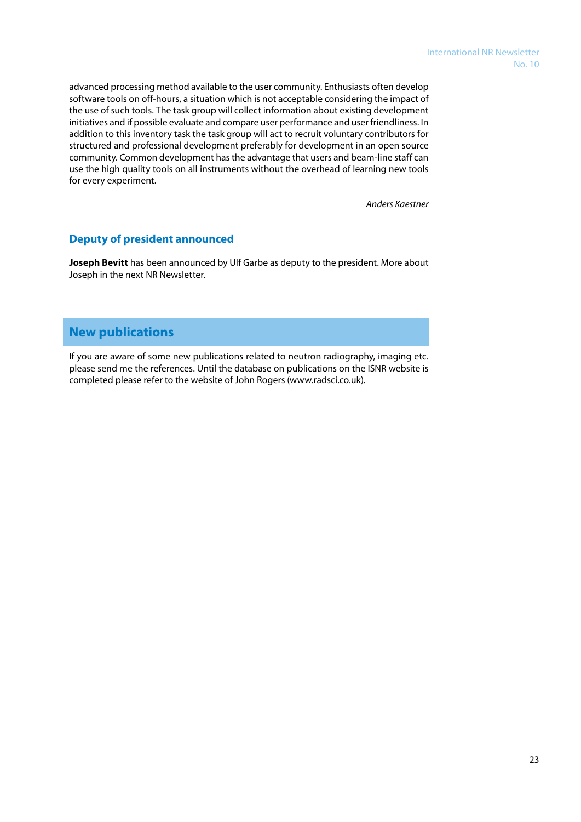advanced processing method available to the user community. Enthusiasts often develop software tools on off-hours, a situation which is not acceptable considering the impact of the use of such tools. The task group will collect information about existing development initiatives and if possible evaluate and compare user performance and user friendliness. In addition to this inventory task the task group will act to recruit voluntary contributors for structured and professional development preferably for development in an open source community. Common development has the advantage that users and beam-line staff can use the high quality tools on all instruments without the overhead of learning new tools for every experiment.

*Anders Kaestner*

### **Deputy of president announced**

**Joseph Bevitt** has been announced by Ulf Garbe as deputy to the president. More about Joseph in the next NR Newsletter.

# **New publications**

If you are aware of some new publications related to neutron radiography, imaging etc. please send me the references. Until the database on publications on the ISNR website is completed please refer to the website of John Rogers (www.radsci.co.uk).